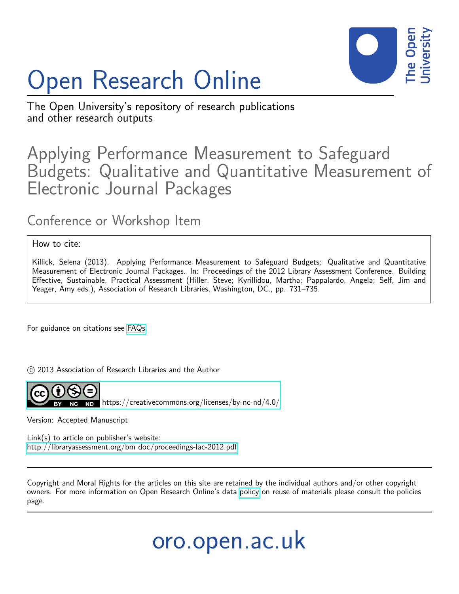

# Open Research Online

The Open University's repository of research publications and other research outputs

## Applying Performance Measurement to Safeguard Budgets: Qualitative and Quantitative Measurement of Electronic Journal Packages

### Conference or Workshop Item

#### How to cite:

Killick, Selena (2013). Applying Performance Measurement to Safeguard Budgets: Qualitative and Quantitative Measurement of Electronic Journal Packages. In: Proceedings of the 2012 Library Assessment Conference. Building Effective, Sustainable, Practical Assessment (Hiller, Steve; Kyrillidou, Martha; Pappalardo, Angela; Self, Jim and Yeager, Amy eds.), Association of Research Libraries, Washington, DC., pp. 731–735.

For guidance on citations see [FAQs.](http://oro.open.ac.uk/help/helpfaq.html)

 $\odot$  2013 Association of Research Libraries and the Author



<https://creativecommons.org/licenses/by-nc-nd/4.0/>

Version: Accepted Manuscript

Link(s) to article on publisher's website: [http://libraryassessment.org/bm doc/proceedings-lac-2012.pdf](http://libraryassessment.org/bm~doc/proceedings-lac-2012.pdf)

Copyright and Moral Rights for the articles on this site are retained by the individual authors and/or other copyright owners. For more information on Open Research Online's data [policy](http://oro.open.ac.uk/policies.html) on reuse of materials please consult the policies page.

# oro.open.ac.uk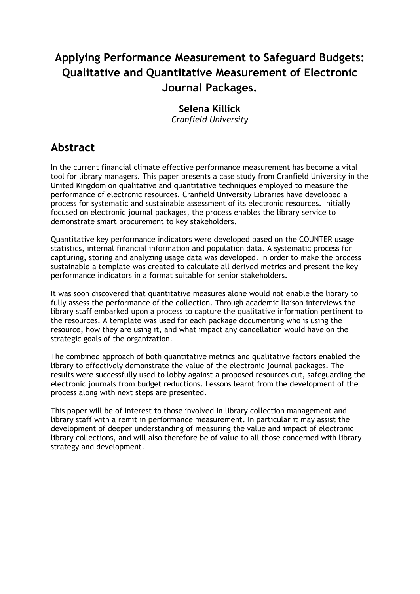### **Applying Performance Measurement to Safeguard Budgets: Qualitative and Quantitative Measurement of Electronic Journal Packages.**

### **Selena Killick**

*Cranfield University*

### **Abstract**

In the current financial climate effective performance measurement has become a vital tool for library managers. This paper presents a case study from Cranfield University in the United Kingdom on qualitative and quantitative techniques employed to measure the performance of electronic resources. Cranfield University Libraries have developed a process for systematic and sustainable assessment of its electronic resources. Initially focused on electronic journal packages, the process enables the library service to demonstrate smart procurement to key stakeholders.

Quantitative key performance indicators were developed based on the COUNTER usage statistics, internal financial information and population data. A systematic process for capturing, storing and analyzing usage data was developed. In order to make the process sustainable a template was created to calculate all derived metrics and present the key performance indicators in a format suitable for senior stakeholders.

It was soon discovered that quantitative measures alone would not enable the library to fully assess the performance of the collection. Through academic liaison interviews the library staff embarked upon a process to capture the qualitative information pertinent to the resources. A template was used for each package documenting who is using the resource, how they are using it, and what impact any cancellation would have on the strategic goals of the organization.

The combined approach of both quantitative metrics and qualitative factors enabled the library to effectively demonstrate the value of the electronic journal packages. The results were successfully used to lobby against a proposed resources cut, safeguarding the electronic journals from budget reductions. Lessons learnt from the development of the process along with next steps are presented.

This paper will be of interest to those involved in library collection management and library staff with a remit in performance measurement. In particular it may assist the development of deeper understanding of measuring the value and impact of electronic library collections, and will also therefore be of value to all those concerned with library strategy and development.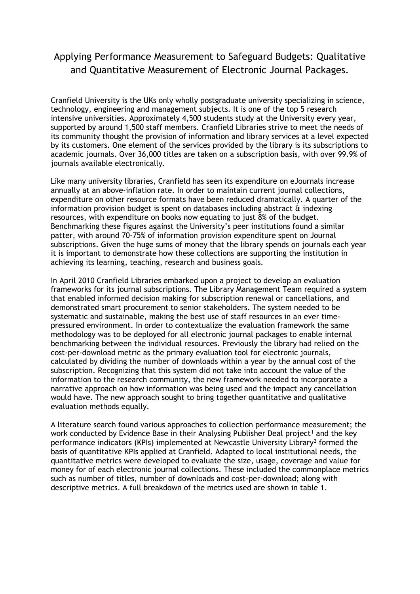### Applying Performance Measurement to Safeguard Budgets: Qualitative and Quantitative Measurement of Electronic Journal Packages.

Cranfield University is the UKs only wholly postgraduate university specializing in science, technology, engineering and management subjects. It is one of the top 5 research intensive universities. Approximately 4,500 students study at the University every year, supported by around 1,500 staff members. Cranfield Libraries strive to meet the needs of its community thought the provision of information and library services at a level expected by its customers. One element of the services provided by the library is its subscriptions to academic journals. Over 36,000 titles are taken on a subscription basis, with over 99.9% of journals available electronically.

Like many university libraries, Cranfield has seen its expenditure on eJournals increase annually at an above-inflation rate. In order to maintain current journal collections, expenditure on other resource formats have been reduced dramatically. A quarter of the information provision budget is spent on databases including abstract  $\hat{a}$  indexing resources, with expenditure on books now equating to just 8% of the budget. Benchmarking these figures against the University's peer institutions found a similar patter, with around 70-75% of information provision expenditure spent on Journal subscriptions. Given the huge sums of money that the library spends on journals each year it is important to demonstrate how these collections are supporting the institution in achieving its learning, teaching, research and business goals.

In April 2010 Cranfield Libraries embarked upon a project to develop an evaluation frameworks for its journal subscriptions. The Library Management Team required a system that enabled informed decision making for subscription renewal or cancellations, and demonstrated smart procurement to senior stakeholders. The system needed to be systematic and sustainable, making the best use of staff resources in an ever timepressured environment. In order to contextualize the evaluation framework the same methodology was to be deployed for all electronic journal packages to enable internal benchmarking between the individual resources. Previously the library had relied on the cost-per-download metric as the primary evaluation tool for electronic journals, calculated by dividing the number of downloads within a year by the annual cost of the subscription. Recognizing that this system did not take into account the value of the information to the research community, the new framework needed to incorporate a narrative approach on how information was being used and the impact any cancellation would have. The new approach sought to bring together quantitative and qualitative evaluation methods equally.

A literature search found various approaches to collection performance measurement; the work conducted by Evidence Base in their Analysing Publisher Deal project<sup>[1](#page-6-0)</sup> and the key performance indicators (KPIs) implemented at Newcastle University Library[2](#page-6-1) formed the basis of quantitative KPIs applied at Cranfield. Adapted to local institutional needs, the quantitative metrics were developed to evaluate the size, usage, coverage and value for money for of each electronic journal collections. These included the commonplace metrics such as number of titles, number of downloads and cost-per-download; along with descriptive metrics. A full breakdown of the metrics used are shown in table 1.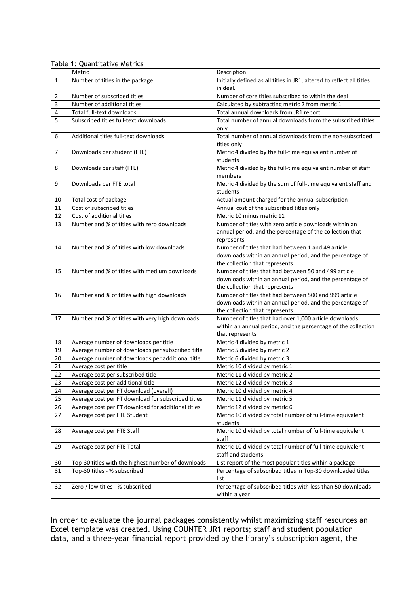|                | Metric                                             | Description                                                           |
|----------------|----------------------------------------------------|-----------------------------------------------------------------------|
| 1              | Number of titles in the package                    | Initially defined as all titles in JR1, altered to reflect all titles |
|                |                                                    | in deal.                                                              |
| 2              | Number of subscribed titles                        | Number of core titles subscribed to within the deal                   |
| 3              | Number of additional titles                        | Calculated by subtracting metric 2 from metric 1                      |
| 4              | Total full-text downloads                          | Total annual downloads from JR1 report                                |
| 5              | Subscribed titles full-text downloads              | Total number of annual downloads from the subscribed titles           |
|                |                                                    | only                                                                  |
| 6              | Additional titles full-text downloads              | Total number of annual downloads from the non-subscribed              |
|                |                                                    | titles only                                                           |
| $\overline{7}$ | Downloads per student (FTE)                        | Metric 4 divided by the full-time equivalent number of                |
|                |                                                    | students                                                              |
| 8              | Downloads per staff (FTE)                          | Metric 4 divided by the full-time equivalent number of staff          |
|                |                                                    | members                                                               |
| 9              | Downloads per FTE total                            | Metric 4 divided by the sum of full-time equivalent staff and         |
|                |                                                    | students                                                              |
| 10             | Total cost of package                              | Actual amount charged for the annual subscription                     |
| 11             | Cost of subscribed titles                          | Annual cost of the subscribed titles only                             |
| 12             | Cost of additional titles                          | Metric 10 minus metric 11                                             |
| 13             | Number and % of titles with zero downloads         | Number of titles with zero article downloads within an                |
|                |                                                    | annual period, and the percentage of the collection that              |
|                |                                                    | represents                                                            |
| 14             | Number and % of titles with low downloads          | Number of titles that had between 1 and 49 article                    |
|                |                                                    | downloads within an annual period, and the percentage of              |
|                |                                                    | the collection that represents                                        |
| 15             | Number and % of titles with medium downloads       | Number of titles that had between 50 and 499 article                  |
|                |                                                    | downloads within an annual period, and the percentage of              |
|                |                                                    | the collection that represents                                        |
| 16             | Number and % of titles with high downloads         | Number of titles that had between 500 and 999 article                 |
|                |                                                    | downloads within an annual period, and the percentage of              |
|                |                                                    | the collection that represents                                        |
| 17             | Number and % of titles with very high downloads    | Number of titles that had over 1,000 article downloads                |
|                |                                                    | within an annual period, and the percentage of the collection         |
|                |                                                    | that represents                                                       |
| 18             | Average number of downloads per title              | Metric 4 divided by metric 1                                          |
| 19             | Average number of downloads per subscribed title   | Metric 5 divided by metric 2                                          |
| 20             | Average number of downloads per additional title   | Metric 6 divided by metric 3                                          |
| 21             | Average cost per title                             | Metric 10 divided by metric 1                                         |
| 22             | Average cost per subscribed title                  | Metric 11 divided by metric 2                                         |
| 23             | Average cost per additional title                  | Metric 12 divided by metric 3                                         |
| 24             | Average cost per FT download (overall)             | Metric 10 divided by metric 4                                         |
| 25             | Average cost per FT download for subscribed titles | Metric 11 divided by metric 5                                         |
| 26             | Average cost per FT download for additional titles | Metric 12 divided by metric 6                                         |
| 27             | Average cost per FTE Student                       | Metric 10 divided by total number of full-time equivalent             |
|                |                                                    | students                                                              |
| 28             | Average cost per FTE Staff                         | Metric 10 divided by total number of full-time equivalent             |
|                |                                                    | staff                                                                 |
| 29             | Average cost per FTE Total                         | Metric 10 divided by total number of full-time equivalent             |
|                |                                                    | staff and students                                                    |
| 30             | Top-30 titles with the highest number of downloads | List report of the most popular titles within a package               |
| 31             | Top-30 titles - % subscribed                       | Percentage of subscribed titles in Top-30 downloaded titles           |
|                |                                                    | list                                                                  |
| 32             | Zero / low titles - % subscribed                   | Percentage of subscribed titles with less than 50 downloads           |
|                |                                                    | within a year                                                         |

Table 1: Quantitative Metrics

In order to evaluate the journal packages consistently whilst maximizing staff resources an Excel template was created. Using COUNTER JR1 reports; staff and student population data, and a three-year financial report provided by the library's subscription agent, the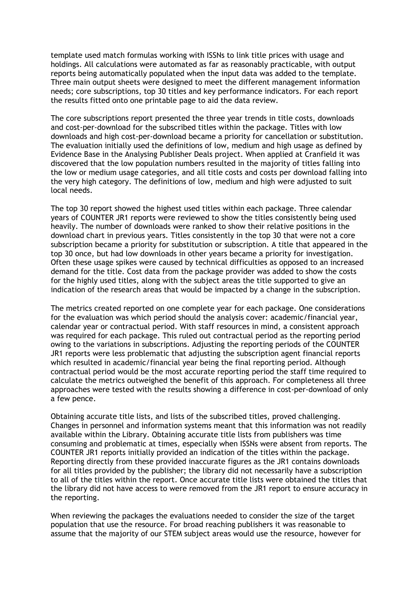template used match formulas working with ISSNs to link title prices with usage and holdings. All calculations were automated as far as reasonably practicable, with output reports being automatically populated when the input data was added to the template. Three main output sheets were designed to meet the different management information needs; core subscriptions, top 30 titles and key performance indicators. For each report the results fitted onto one printable page to aid the data review.

The core subscriptions report presented the three year trends in title costs, downloads and cost-per-download for the subscribed titles within the package. Titles with low downloads and high cost-per-download became a priority for cancellation or substitution. The evaluation initially used the definitions of low, medium and high usage as defined by Evidence Base in the Analysing Publisher Deals project. When applied at Cranfield it was discovered that the low population numbers resulted in the majority of titles falling into the low or medium usage categories, and all title costs and costs per download falling into the very high category. The definitions of low, medium and high were adjusted to suit local needs.

The top 30 report showed the highest used titles within each package. Three calendar years of COUNTER JR1 reports were reviewed to show the titles consistently being used heavily. The number of downloads were ranked to show their relative positions in the download chart in previous years. Titles consistently in the top 30 that were not a core subscription became a priority for substitution or subscription. A title that appeared in the top 30 once, but had low downloads in other years became a priority for investigation. Often these usage spikes were caused by technical difficulties as opposed to an increased demand for the title. Cost data from the package provider was added to show the costs for the highly used titles, along with the subject areas the title supported to give an indication of the research areas that would be impacted by a change in the subscription.

The metrics created reported on one complete year for each package. One considerations for the evaluation was which period should the analysis cover: academic/financial year, calendar year or contractual period. With staff resources in mind, a consistent approach was required for each package. This ruled out contractual period as the reporting period owing to the variations in subscriptions. Adjusting the reporting periods of the COUNTER JR1 reports were less problematic that adjusting the subscription agent financial reports which resulted in academic/financial year being the final reporting period. Although contractual period would be the most accurate reporting period the staff time required to calculate the metrics outweighed the benefit of this approach. For completeness all three approaches were tested with the results showing a difference in cost-per-download of only a few pence.

Obtaining accurate title lists, and lists of the subscribed titles, proved challenging. Changes in personnel and information systems meant that this information was not readily available within the Library. Obtaining accurate title lists from publishers was time consuming and problematic at times, especially when ISSNs were absent from reports. The COUNTER JR1 reports initially provided an indication of the titles within the package. Reporting directly from these provided inaccurate figures as the JR1 contains downloads for all titles provided by the publisher; the library did not necessarily have a subscription to all of the titles within the report. Once accurate title lists were obtained the titles that the library did not have access to were removed from the JR1 report to ensure accuracy in the reporting.

When reviewing the packages the evaluations needed to consider the size of the target population that use the resource. For broad reaching publishers it was reasonable to assume that the majority of our STEM subject areas would use the resource, however for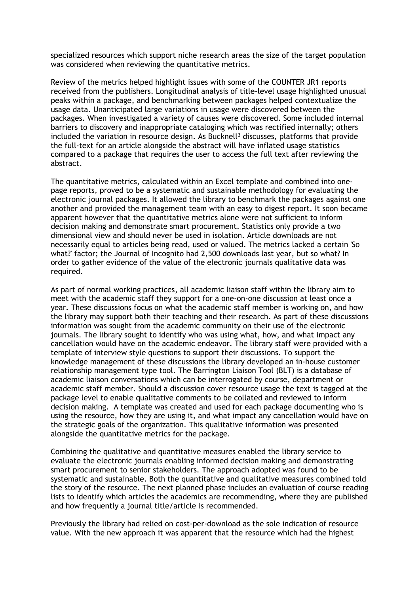specialized resources which support niche research areas the size of the target population was considered when reviewing the quantitative metrics.

Review of the metrics helped highlight issues with some of the COUNTER JR1 reports received from the publishers. Longitudinal analysis of title-level usage highlighted unusual peaks within a package, and benchmarking between packages helped contextualize the usage data. Unanticipated large variations in usage were discovered between the packages. When investigated a variety of causes were discovered. Some included internal barriers to discovery and inappropriate cataloging which was rectified internally; others included the variation in resource design. As Bucknell<sup>[3](#page-6-2)</sup> discusses, platforms that provide the full-text for an article alongside the abstract will have inflated usage statistics compared to a package that requires the user to access the full text after reviewing the abstract.

The quantitative metrics, calculated within an Excel template and combined into onepage reports, proved to be a systematic and sustainable methodology for evaluating the electronic journal packages. It allowed the library to benchmark the packages against one another and provided the management team with an easy to digest report. It soon became apparent however that the quantitative metrics alone were not sufficient to inform decision making and demonstrate smart procurement. Statistics only provide a two dimensional view and should never be used in isolation. Article downloads are not necessarily equal to articles being read, used or valued. The metrics lacked a certain 'So what?' factor; the Journal of Incognito had 2,500 downloads last year, but so what? In order to gather evidence of the value of the electronic journals qualitative data was required.

As part of normal working practices, all academic liaison staff within the library aim to meet with the academic staff they support for a one-on-one discussion at least once a year. These discussions focus on what the academic staff member is working on, and how the library may support both their teaching and their research. As part of these discussions information was sought from the academic community on their use of the electronic journals. The library sought to identify who was using what, how, and what impact any cancellation would have on the academic endeavor. The library staff were provided with a template of interview style questions to support their discussions. To support the knowledge management of these discussions the library developed an in-house customer relationship management type tool. The Barrington Liaison Tool (BLT) is a database of academic liaison conversations which can be interrogated by course, department or academic staff member. Should a discussion cover resource usage the text is tagged at the package level to enable qualitative comments to be collated and reviewed to inform decision making. A template was created and used for each package documenting who is using the resource, how they are using it, and what impact any cancellation would have on the strategic goals of the organization. This qualitative information was presented alongside the quantitative metrics for the package.

Combining the qualitative and quantitative measures enabled the library service to evaluate the electronic journals enabling informed decision making and demonstrating smart procurement to senior stakeholders. The approach adopted was found to be systematic and sustainable. Both the quantitative and qualitative measures combined told the story of the resource. The next planned phase includes an evaluation of course reading lists to identify which articles the academics are recommending, where they are published and how frequently a journal title/article is recommended.

Previously the library had relied on cost-per-download as the sole indication of resource value. With the new approach it was apparent that the resource which had the highest